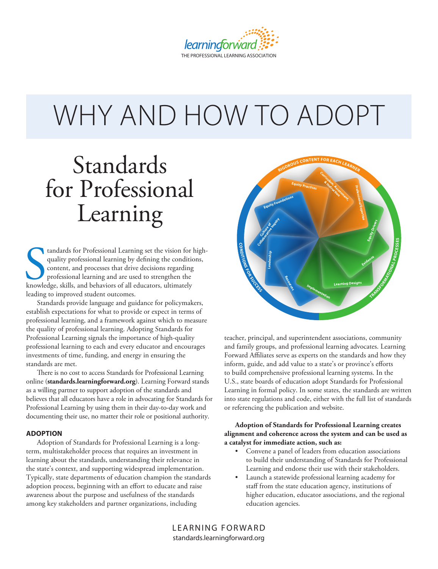

# WHY AND HOW TO ADOPT

# Standards for Professional Learning

tandards for Professional Learning set the vision for quality professional learning by defining the condition<br>content, and processes that drive decisions regarding<br>professional learning and are used to strengthen the<br>knowl tandards for Professional Learning set the vision for highquality professional learning by defining the conditions, content, and processes that drive decisions regarding professional learning and are used to strengthen the leading to improved student outcomes.

Standards provide language and guidance for policymakers, establish expectations for what to provide or expect in terms of professional learning, and a framework against which to measure the quality of professional learning. Adopting Standards for Professional Learning signals the importance of high-quality professional learning to each and every educator and encourages investments of time, funding, and energy in ensuring the standards are met.

There is no cost to access Standards for Professional Learning online (**standards.learningforward.org**). Learning Forward stands as a willing partner to support adoption of the standards and believes that all educators have a role in advocating for Standards for Professional Learning by using them in their day-to-day work and documenting their use, no matter their role or positional authority.

#### **ADOPTION**

Adoption of Standards for Professional Learning is a longterm, multistakeholder process that requires an investment in learning about the standards, understanding their relevance in the state's context, and supporting widespread implementation. Typically, state departments of education champion the standards adoption process, beginning with an effort to educate and raise awareness about the purpose and usefulness of the standards among key stakeholders and partner organizations, including



teacher, principal, and superintendent associations, community and family groups, and professional learning advocates. Learning Forward Affiliates serve as experts on the standards and how they inform, guide, and add value to a state's or province's efforts to build comprehensive professional learning systems. In the U.S., state boards of education adopt Standards for Professional Learning in formal policy. In some states, the standards are written into state regulations and code, either with the full list of standards or referencing the publication and website.

#### **Adoption of Standards for Professional Learning creates alignment and coherence across the system and can be used as a catalyst for immediate action, such as:**

- Convene a panel of leaders from education associations to build their understanding of Standards for Professional Learning and endorse their use with their stakeholders.
- Launch a statewide professional learning academy for staff from the state education agency, institutions of higher education, educator associations, and the regional education agencies.

LEARNING FORWARD standards.learningforward.org